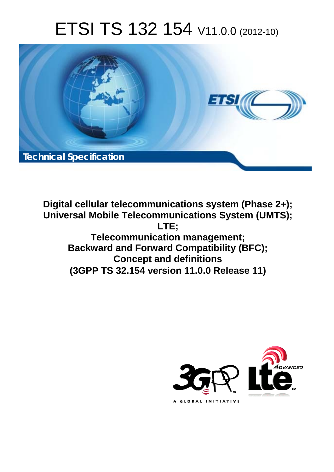# ETSI TS 132 154 V11.0.0 (2012-10)



**Digital cellular telecommunications system (Phase 2+); Universal Mobile Telecommunications System (UMTS); LTE; Telecommunication management; Backward and Forward Compatibility (BFC); Concept and definitions (3GPP TS 32.154 version 11.0.0 Release 11)** 

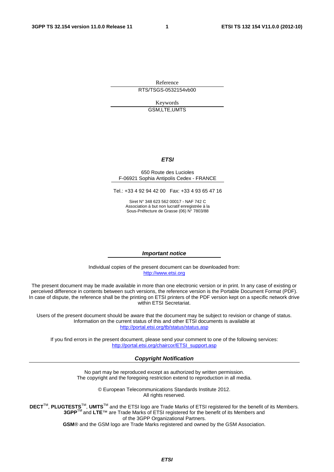Reference RTS/TSGS-0532154vb00

> Keywords GSM,LTE,UMTS

#### *ETSI*

#### 650 Route des Lucioles F-06921 Sophia Antipolis Cedex - FRANCE

Tel.: +33 4 92 94 42 00 Fax: +33 4 93 65 47 16

Siret N° 348 623 562 00017 - NAF 742 C Association à but non lucratif enregistrée à la Sous-Préfecture de Grasse (06) N° 7803/88

#### *Important notice*

Individual copies of the present document can be downloaded from: [http://www.etsi.org](http://www.etsi.org/)

The present document may be made available in more than one electronic version or in print. In any case of existing or perceived difference in contents between such versions, the reference version is the Portable Document Format (PDF). In case of dispute, the reference shall be the printing on ETSI printers of the PDF version kept on a specific network drive within ETSI Secretariat.

Users of the present document should be aware that the document may be subject to revision or change of status. Information on the current status of this and other ETSI documents is available at <http://portal.etsi.org/tb/status/status.asp>

If you find errors in the present document, please send your comment to one of the following services: [http://portal.etsi.org/chaircor/ETSI\\_support.asp](http://portal.etsi.org/chaircor/ETSI_support.asp)

#### *Copyright Notification*

No part may be reproduced except as authorized by written permission. The copyright and the foregoing restriction extend to reproduction in all media.

> © European Telecommunications Standards Institute 2012. All rights reserved.

DECT<sup>™</sup>, PLUGTESTS<sup>™</sup>, UMTS<sup>™</sup> and the ETSI logo are Trade Marks of ETSI registered for the benefit of its Members. **3GPP**TM and **LTE**™ are Trade Marks of ETSI registered for the benefit of its Members and of the 3GPP Organizational Partners.

**GSM**® and the GSM logo are Trade Marks registered and owned by the GSM Association.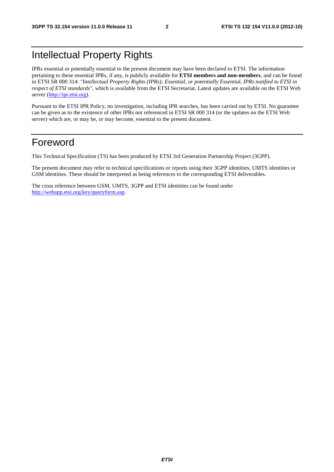# Intellectual Property Rights

IPRs essential or potentially essential to the present document may have been declared to ETSI. The information pertaining to these essential IPRs, if any, is publicly available for **ETSI members and non-members**, and can be found in ETSI SR 000 314: *"Intellectual Property Rights (IPRs); Essential, or potentially Essential, IPRs notified to ETSI in respect of ETSI standards"*, which is available from the ETSI Secretariat. Latest updates are available on the ETSI Web server [\(http://ipr.etsi.org](http://webapp.etsi.org/IPR/home.asp)).

Pursuant to the ETSI IPR Policy, no investigation, including IPR searches, has been carried out by ETSI. No guarantee can be given as to the existence of other IPRs not referenced in ETSI SR 000 314 (or the updates on the ETSI Web server) which are, or may be, or may become, essential to the present document.

# Foreword

This Technical Specification (TS) has been produced by ETSI 3rd Generation Partnership Project (3GPP).

The present document may refer to technical specifications or reports using their 3GPP identities, UMTS identities or GSM identities. These should be interpreted as being references to the corresponding ETSI deliverables.

The cross reference between GSM, UMTS, 3GPP and ETSI identities can be found under <http://webapp.etsi.org/key/queryform.asp>.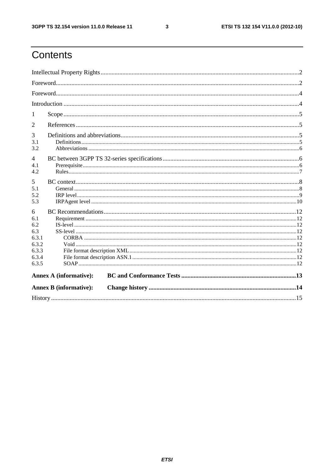$\mathbf{3}$ 

# Contents

| 1                     |                               |  |  |  |  |  |
|-----------------------|-------------------------------|--|--|--|--|--|
| 2                     |                               |  |  |  |  |  |
| 3                     |                               |  |  |  |  |  |
| 3.1<br>3.2            |                               |  |  |  |  |  |
|                       |                               |  |  |  |  |  |
| $\overline{4}$<br>4.1 |                               |  |  |  |  |  |
| 4.2                   |                               |  |  |  |  |  |
| 5                     |                               |  |  |  |  |  |
| 5.1                   |                               |  |  |  |  |  |
| 5.2                   |                               |  |  |  |  |  |
| 5.3                   |                               |  |  |  |  |  |
| 6                     |                               |  |  |  |  |  |
| 6.1                   |                               |  |  |  |  |  |
| 6.2                   |                               |  |  |  |  |  |
| 6.3                   |                               |  |  |  |  |  |
| 6.3.1<br>6.3.2        |                               |  |  |  |  |  |
| 6.3.3                 |                               |  |  |  |  |  |
| 6.3.4                 |                               |  |  |  |  |  |
| 6.3.5                 |                               |  |  |  |  |  |
|                       | <b>Annex A (informative):</b> |  |  |  |  |  |
|                       | <b>Annex B</b> (informative): |  |  |  |  |  |
|                       |                               |  |  |  |  |  |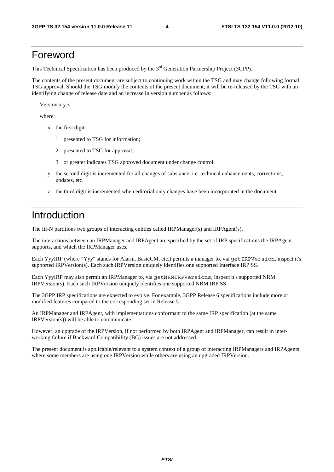# Foreword

This Technical Specification has been produced by the 3<sup>rd</sup> Generation Partnership Project (3GPP).

The contents of the present document are subject to continuing work within the TSG and may change following formal TSG approval. Should the TSG modify the contents of the present document, it will be re-released by the TSG with an identifying change of release date and an increase in version number as follows:

Version x.y.z

where:

- x the first digit:
	- 1 presented to TSG for information;
	- 2 presented to TSG for approval;
	- 3 or greater indicates TSG approved document under change control.
- y the second digit is incremented for all changes of substance, i.e. technical enhancements, corrections, updates, etc.
- z the third digit is incremented when editorial only changes have been incorporated in the document.

# Introduction

The Itf-N partitions two groups of interacting entities called IRPManager(s) and IRPAgent(s).

The interactions between an IRPManager and IRPAgent are specified by the set of IRP specifications the IRPAgent supports, and which the IRPManager uses.

Each YyyIRP (where "Yyy" stands for Alarm, BasicCM, etc.) permits a manager to, via getIRPVersion, inspect it's supported IRPVersion(s). Each such IRPVersion uniquely identifies one supported Interface IRP SS.

Each YyyIRP may also permit an IRPManager to, via getNRMIRPVersions, inspect it's supported NRM IRPVersion(s). Each such IRPVersion uniquely identifies one supported NRM IRP SS.

The 3GPP IRP specifications are expected to evolve. For example, 3GPP Release 6 specifications include more or modified features compared to the corresponding set in Release 5.

An IRPManager and IRPAgent, with implementations conformant to the same IRP specification (at the same IRPVersion(s)) will be able to communicate.

However, an upgrade of the IRPVersion, if not performed by both IRPAgent and IRPManager, can result in interworking failure if Backward Compatibility (BC) issues are not addressed.

The present document is applicable/relevant to a system context of a group of interacting IRPManagers and IRPAgents where some members are using one IRPVersion while others are using an upgraded IRPVersion.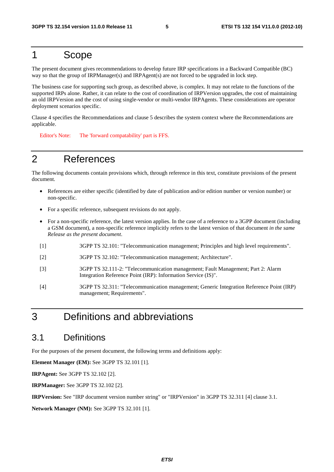# 1 Scope

The present document gives recommendations to develop future IRP specifications in a Backward Compatible (BC) way so that the group of IRPManager(s) and IRPAgent(s) are not forced to be upgraded in lock step.

The business case for supporting such group, as described above, is complex. It may not relate to the functions of the supported IRPs alone. Rather, it can relate to the cost of coordination of IRPVersion upgrades, the cost of maintaining an old IRPVersion and the cost of using single-vendor or multi-vendor IRPAgents. These considerations are operator deployment scenarios specific.

Clause 4 specifies the Recommendations and clause 5 describes the system context where the Recommendations are applicable.

Editor's Note: The 'forward compatability' part is FFS.

# 2 References

The following documents contain provisions which, through reference in this text, constitute provisions of the present document.

- References are either specific (identified by date of publication and/or edition number or version number) or non-specific.
- For a specific reference, subsequent revisions do not apply.
- For a non-specific reference, the latest version applies. In the case of a reference to a 3GPP document (including a GSM document), a non-specific reference implicitly refers to the latest version of that document *in the same Release as the present document*.
- [1] 3GPP TS 32.101: "Telecommunication management; Principles and high level requirements".
- [2] 3GPP TS 32.102: "Telecommunication management; Architecture".
- [3] 3GPP TS 32.111-2: "Telecommunication management; Fault Management; Part 2: Alarm Integration Reference Point (IRP): Information Service (IS)".
- [4] 3GPP TS 32.311: "Telecommunication management; Generic Integration Reference Point (IRP) management; Requirements".

# 3 Definitions and abbreviations

# 3.1 Definitions

For the purposes of the present document, the following terms and definitions apply:

**Element Manager (EM):** See 3GPP TS 32.101 [1].

**IRPAgent:** See 3GPP TS 32.102 [2].

**IRPManager:** See 3GPP TS 32.102 [2].

**IRPVersion:** See "IRP document version number string" or "IRPVersion" in 3GPP TS 32.311 [4] clause 3.1.

**Network Manager (NM):** See 3GPP TS 32.101 [1].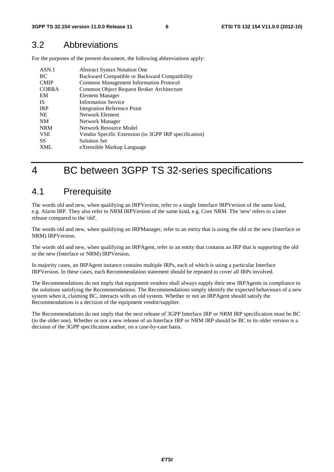# 3.2 Abbreviations

For the purposes of the present document, the following abbreviations apply:

| ASN.1        | <b>Abstract Syntax Notation One</b>                   |
|--------------|-------------------------------------------------------|
| BC           | Backward Compatible or Backward Compatibility         |
| <b>CMIP</b>  | <b>Common Management Information Protocol</b>         |
| <b>CORBA</b> | Common Object Request Broker Architecture             |
| EM           | Element Manager                                       |
| -IS          | <b>Information Service</b>                            |
| <b>IRP</b>   | <b>Integration Reference Point</b>                    |
| <b>NE</b>    | Network Element                                       |
| <b>NM</b>    | Network Manager                                       |
| <b>NRM</b>   | Network Resource Model                                |
| <b>VSE</b>   | Vendor Specific Extension (to 3GPP IRP specification) |
| SS           | <b>Solution Set</b>                                   |
| <b>XML</b>   | eXtensible Markup Language                            |

# 4 BC between 3GPP TS 32-series specifications

# 4.1 Prerequisite

The words old and new, when qualifying an IRPVersion, refer to a single Interface IRPVersion of the same kind, e.g. Alarm IRP. They also refer to NRM IRPVersion of the same kind, e.g. Core NRM. The 'new' refers to a later release compared to the 'old'.

The words old and new, when qualifying an IRPManager, refer to an entity that is using the old or the new (Interface or NRM) IRPVersion.

The words old and new, when qualifying an IRPAgent, refer to an entity that contains an IRP that is supporting the old or the new (Interface or NRM) IRPVersion.

In majority cases, an IRPAgent instance contains multiple IRPs, each of which is using a particular Interface IRPVersion. In these cases, each Recommendation statement should be repeated to cover all IRPs involved.

The Recommendations do not imply that equipment vendors shall always supply their new IRPAgents in compliance to the solutions satisfying the Recommendations. The Recommendations simply identify the expected behaviours of a new system when it, claiming BC, interacts with an old system. Whether or not an IRPAgent should satisfy the Recommendations is a decision of the equipment vendor/supplier.

The Recommendations do not imply that the next release of 3GPP Interface IRP or NRM IRP specification must be BC (to the older one). Whether or not a new release of an Interface IRP or NRM IRP should be BC to its older version is a decision of the 3GPP specification author, on a case-by-case basis.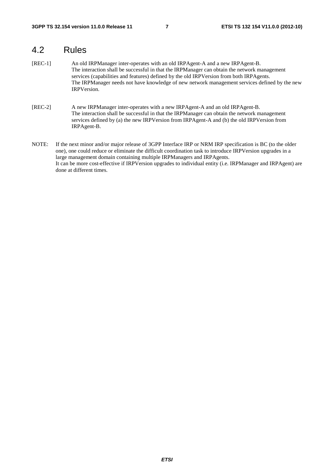# 4.2 Rules

- [REC-1] An old IRPManager inter-operates with an old IRPAgent-A and a new IRPAgent-B. The interaction shall be successful in that the IRPManager can obtain the network management services (capabilities and features) defined by the old IRPVersion from both IRPAgents. The IRPManager needs not have knowledge of new network management services defined by the new IRPVersion.
- [REC-2] A new IRPManager inter-operates with a new IRPAgent-A and an old IRPAgent-B. The interaction shall be successful in that the IRPManager can obtain the network management services defined by (a) the new IRPVersion from IRPAgent-A and (b) the old IRPVersion from IRPAgent-B.
- NOTE: If the next minor and/or major release of 3GPP Interface IRP or NRM IRP specification is BC (to the older one), one could reduce or eliminate the difficult coordination task to introduce IRPVersion upgrades in a large management domain containing multiple IRPManagers and IRPAgents. It can be more cost-effective if IRPVersion upgrades to individual entity (i.e. IRPManager and IRPAgent) are done at different times.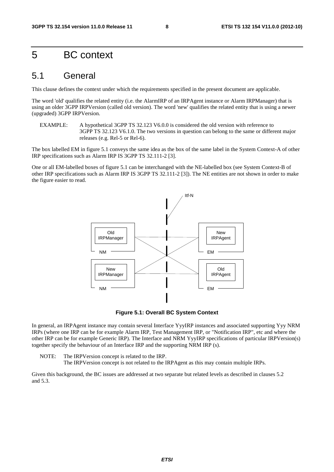# 5 BC context

### 5.1 General

This clause defines the context under which the requirements specified in the present document are applicable.

The word 'old' qualifies the related entity (i.e. the AlarmIRP of an IRPAgent instance or Alarm IRPManager) that is using an older 3GPP IRPVersion (called old version). The word 'new' qualifies the related entity that is using a newer (upgraded) 3GPP IRPVersion.

EXAMPLE: A hypothetical 3GPP TS 32.123 V6.0.0 is considered the old version with reference to 3GPP TS 32.123 V6.1.0. The two versions in question can belong to the same or different major releases (e.g. Rel-5 or Rel-6).

The box labelled EM in figure 5.1 conveys the same idea as the box of the same label in the System Context-A of other IRP specifications such as Alarm IRP IS 3GPP TS 32.111-2 [3].

One or all EM-labelled boxes of figure 5.1 can be interchanged with the NE-labelled box (see System Context-B of other IRP specifications such as Alarm IRP IS 3GPP TS 32.111-2 [3]). The NE entities are not shown in order to make the figure easier to read.



**Figure 5.1: Overall BC System Context** 

In general, an IRPAgent instance may contain several Interface YyyIRP instances and associated supporting Yyy NRM IRPs (where one IRP can be for example Alarm IRP, Test Management IRP, or "Notification IRP", etc and where the other IRP can be for example Generic IRP). The Interface and NRM YyyIRP specifications of particular IRPVersion(s) together specify the behaviour of an Interface IRP and the supporting NRM IRP (s).

NOTE: The IRPVersion concept is related to the IRP. The IRPVersion concept is not related to the IRPAgent as this may contain multiple IRPs.

Given this background, the BC issues are addressed at two separate but related levels as described in clauses 5.2 and 5.3.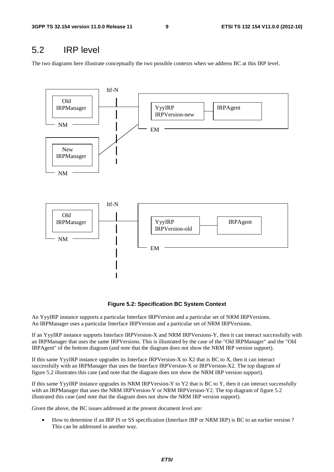# 5.2 IRP level

The two diagrams here illustrate conceptually the two possible contexts when we address BC at this IRP level.



**Figure 5.2: Specification BC System Context** 

An YyyIRP instance supports a particular Interface IRPVersion and a particular set of NRM IRPVersions. An IRPManager uses a particular Interface IRPVersion and a particular set of NRM IRPVersions.

If an YyyIRP instance supports Interface IRPVersion-X and NRM IRPVersions-Y, then it can interact successfully with an IRPManager that uses the same IRPVersions. This is illustrated by the case of the "Old IRPManager" and the "Old IRPAgent" of the bottom diagram (and note that the diagram does not show the NRM IRP version support).

If this same YyyIRP instance upgrades its Interface IRPVersion-X to X2 that is BC to X, then it can interact successfully with an IRPManager that uses the Interface IRPVersion-X or IRPVersion-X2. The top diagram of figure 5.2 illustrates this case (and note that the diagram does not show the NRM IRP version support).

If this same YyyIRP instance upgrades its NRM IRPVersion-Y to Y2 that is BC to Y, then it can interact successfully with an IRPManager that uses the NRM IRPVersion-Y or NRM IRPVersion-Y2. The top diagram of figure 5.2 illustrated this case (and note that the diagram does not show the NRM IRP version support).

Given the above, the BC issues addressed at the present document level are:

• How to determine if an IRP IS or SS specification (Interface IRP or NRM IRP) is BC to an earlier version ? This can be addressed in another way.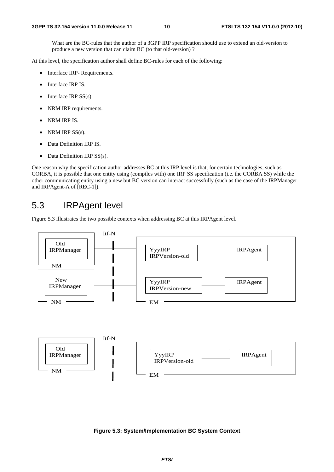What are the BC-rules that the author of a 3GPP IRP specification should use to extend an old-version to produce a new version that can claim BC (to that old-version) ?

At this level, the specification author shall define BC-rules for each of the following:

- Interface IRP- Requirements.
- Interface IRP IS.
- Interface IRP  $SS(s)$ .
- NRM IRP requirements.
- NRM IRP IS.
- NRM IRP  $SS(s)$ .
- Data Definition IRP IS.
- Data Definition IRP SS(s).

One reason why the specification author addresses BC at this IRP level is that, for certain technologies, such as CORBA, it is possible that one entity using (compiles with) one IRP SS specification (i.e. the CORBA SS) while the other communicating entity using a new but BC version can interact successfully (such as the case of the IRPManager and IRPAgent-A of [REC-1]).

# 5.3 IRPAgent level

Figure 5.3 illustrates the two possible contexts when addressing BC at this IRPAgent level.



#### **Figure 5.3: System/Implementation BC System Context**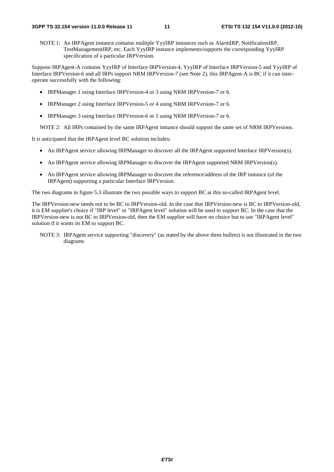NOTE 1: An IRPAgent instance contains multiple YyyIRP instances such as AlarmIRP, NotificationIRP, TestManagementIRP, etc. Each YyyIRP instance implements/supports the corresponding YyyIRP specification of a particular IRPVersion.

Suppose IRPAgent-A contains YyyIRP of Interface IRPVersion-4, YyyIRP of Interface IRPVersion-5 and YyyIRP of Interface IRPVersion-6 and all IRPs support NRM IRPVersion-7 (see Note 2), this IRPAgent-A is BC if it can interoperate successfully with the following:

- IRPManager 1 using Interface IRPVersion-4 or 3 using NRM IRPVersion-7 or 6.
- IRPManager 2 using Interface IRPVersion-5 or 4 using NRM IRPVersion-7 or 6.
- IRPManager 3 using Interface IRPVersion-6 or 5 using NRM IRPVersion-7 or 6.

NOTE 2: All IRPs contained by the same IRPAgent instance should support the same set of NRM IRPVersions.

It is anticipated that the IRPAgent level BC solution includes:

- An IRPAgent service allowing IRPManager to discover all the IRPAgent supported Interface IRPVersion(s).
- An IRPAgent service allowing IRPManager to discover the IRPAgent supported NRM IRPVersion(s).
- An IRPAgent service allowing IRPManager to discover the reference/address of the IRP instance (of the IRPAgent) supporting a particular Interface IRPVersion.

The two diagrams in figure 5.3 illustrate the two possible ways to support BC at this so-called IRPAgent level.

The IRPVersion-new needs not to be BC to IRPVersion-old. In the case that IRPVersion-new is BC to IRPVersion-old, it is EM supplier's choice if "IRP level" or "IRPAgent level" solution will be used to support BC. In the case that the IRPVersion-new is not BC to IRPVersion-old, then the EM supplier will have no choice but to use "IRPAgent level" solution if it wants its EM to support BC.

NOTE 3: IRPAgent service supporting "discovery" (as stated by the above three bullets) is not illustrated in the two diagrams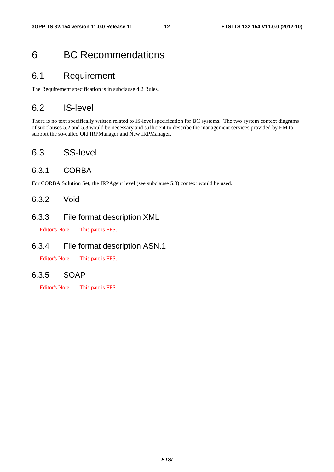# 6 BC Recommendations

### 6.1 Requirement

The Requirement specification is in subclause 4.2 Rules.

# 6.2 IS-level

There is no text specifically written related to IS-level specification for BC systems. The two system context diagrams of subclauses 5.2 and 5.3 would be necessary and sufficient to describe the management services provided by EM to support the so-called Old IRPManager and New IRPManager.

# 6.3 SS-level

#### 6.3.1 CORBA

For CORBA Solution Set, the IRPAgent level (see subclause 5.3) context would be used.

#### 6.3.2 Void

#### 6.3.3 File format description XML

Editor's Note: This part is FFS.

#### 6.3.4 File format description ASN.1

Editor's Note: This part is FFS.

#### 6.3.5 SOAP

Editor's Note: This part is FFS.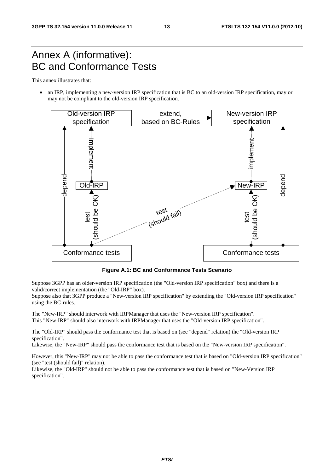# Annex A (informative): BC and Conformance Tests

This annex illustrates that:

• an IRP, implementing a new-version IRP specification that is BC to an old-version IRP specification, may or may not be compliant to the old-version IRP specification.



**Figure A.1: BC and Conformance Tests Scenario** 

Suppose 3GPP has an older-version IRP specification (the "Old-version IRP specification" box) and there is a valid/correct implementation (the "Old-IRP" box).

Suppose also that 3GPP produce a "New-version IRP specification" by extending the "Old-version IRP specification" using the BC-rules.

The "New-IRP" should interwork with IRPManager that uses the "New-version IRP specification". This "New-IRP" should also interwork with IRPManager that uses the "Old-version IRP specification".

The "Old-IRP" should pass the conformance test that is based on (see "depend" relation) the "Old-version IRP specification".

Likewise, the "New-IRP" should pass the conformance test that is based on the "New-version IRP specification".

However, this "New-IRP" may not be able to pass the conformance test that is based on "Old-version IRP specification" (see "test (should fail)" relation).

Likewise, the "Old-IRP" should not be able to pass the conformance test that is based on "New-Version IRP specification".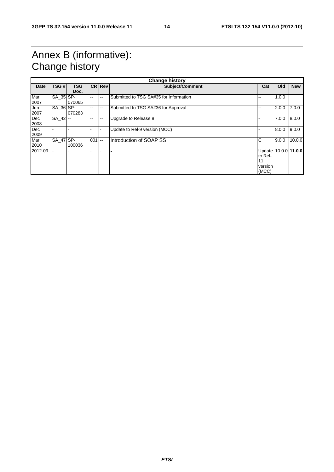# Annex B (informative): Change history

| <b>Change history</b> |             |            |               |                |                                        |                      |       |            |
|-----------------------|-------------|------------|---------------|----------------|----------------------------------------|----------------------|-------|------------|
| Date                  | TSG#        | <b>TSG</b> |               | <b>CRIRevi</b> | Subject/Comment                        | Cat                  | Old   | <b>New</b> |
|                       |             | Doc.       |               |                |                                        |                      |       |            |
| Mar                   | SA 35 SP-   |            | --            | --             | Submitted to TSG SA#35 for Information | --                   | 1.0.0 |            |
| 2007                  |             | 070065     |               |                |                                        |                      |       |            |
| Jun                   | SA 36 SP-   |            | $\sim$ $\sim$ | --             | Submitted to TSG SA#36 for Approval    | --                   | 2.0.0 | 7.0.0      |
| 2007                  |             | 070283     |               |                |                                        |                      |       |            |
| Dec                   | $SA$ 42 $-$ |            | $\sim$ $\sim$ | --             | Upgrade to Release 8                   |                      | 7.0.0 | 8.0.0      |
| 2008                  |             |            |               |                |                                        |                      |       |            |
| Dec                   |             |            |               |                | Update to Rel-9 version (MCC)          |                      | 8.0.0 | 9.0.0      |
| 2009                  |             |            |               |                |                                        |                      |       |            |
| Mar                   | SA 47 SP-   |            | 001           | <b>1000</b>    | Introduction of SOAP SS                | C                    | 9.0.0 | 10.0.0     |
| 2010                  |             | 100036     |               |                |                                        |                      |       |            |
| 2012-09               |             |            |               |                |                                        | Update 10.0.0 11.0.0 |       |            |
|                       |             |            |               |                |                                        | to Rel-              |       |            |
|                       |             |            |               |                |                                        |                      |       |            |
|                       |             |            |               |                |                                        | version              |       |            |
|                       |             |            |               |                |                                        | (MCC)                |       |            |